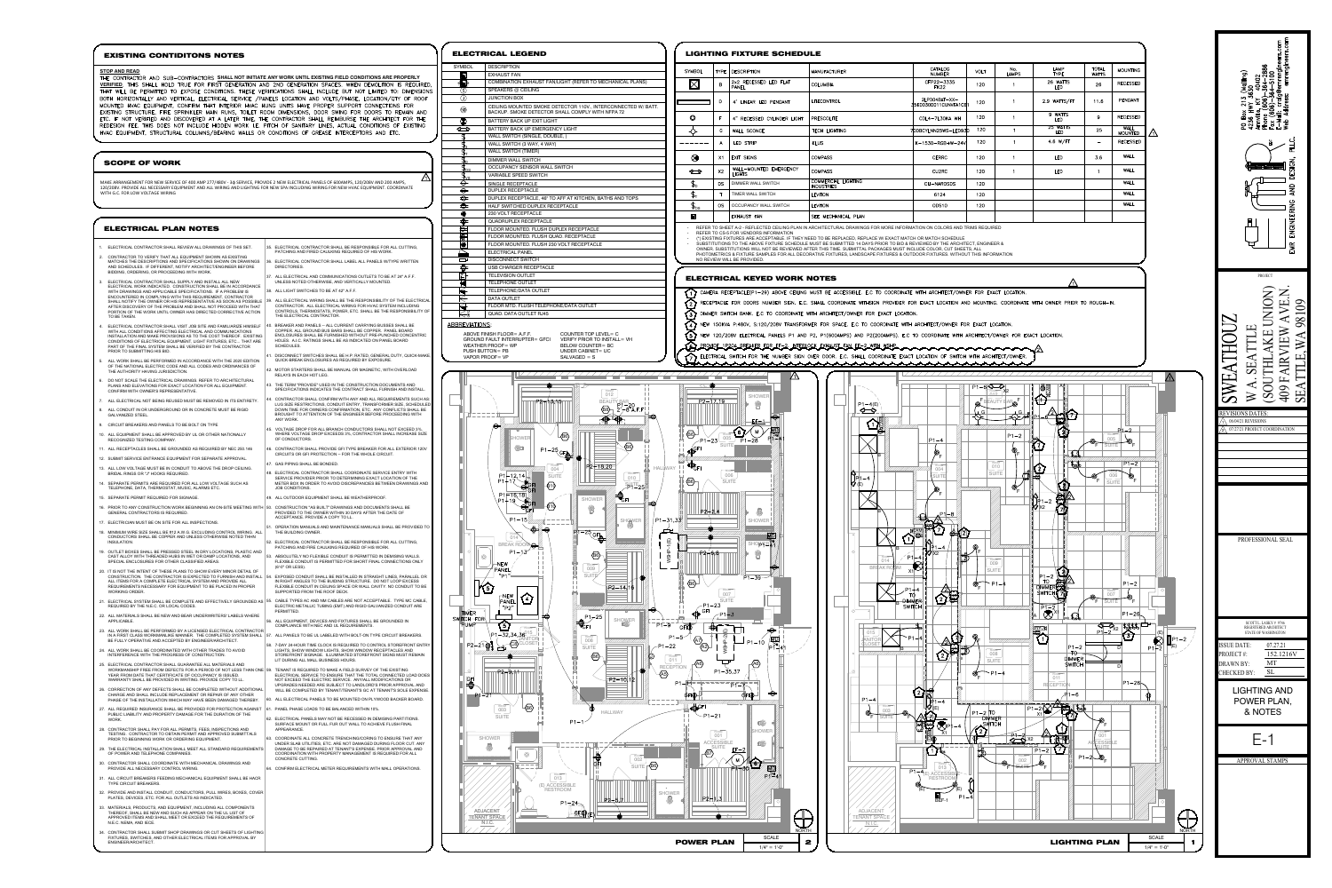- 1. ELECTRICAL CONTRACTOR SHALL REVIEW ALL DRAWINGS OF THIS SET.
- 2. CONTRACTOR TO VERIFY THAT ALL EQUIPMENT SHOWN AS EXISTING MATCHES THE DESCRIPTIONS AND SPECIFICATIONS SHOWN ON DRAWINGS AND SCHEDULES. IF DIFFERENT, NOTIFY ARCHITECT/ENGINEER BEFORE BIDDING, ORDERING, OR PROCEEDING WITH WORK.
- ELECTRICAL CONTRACTOR SHALL SUPPLY AND INSTALL ALL NEW ELECTRICAL WORK INDICATED. CONSTRUCTION SHALL BE IN ACCORDANCE WITH DRAWINGS AND APPLICABLE SPECIFICATIONS. IF A PROBLEM IS ENCOUNTERED IN COMPLYING WITH THIS REQUIREMENT, CONTRACTOR SHALL NOTIFY THE OWNER OR HIS REPRESENTATIVE AS SOON AS POSSIBLE AFTER DISCOVERY OF THE PROBLEM AND SHALL NOT PROCEED WITH THAT PORTION OF THE WORK UNTIL OWNER HAS DIRECTED CORRECTIVE ACTION TO BE TAKEN.
- 4. ELECTRICAL CONTRACTOR SHALL VISIT JOB SITE AND FAMILIARIZE HIMSELF WITH ALL CONDITIONS AFFECTING ELECTRICAL AND COMMUNICATIONS INSTALLATION AND MAKE PROVISIONS AS TO THE COST THEREOF. EXISTING CONDITIONS OF ELECTRICAL EQUIPMENT, LIGHT FIXTURES, ETC... THAT ARE PART OF THE FINAL SYSTEM SHALL BE VERIFIED BY THE CONTRACTOR PRIOR TO SUBMITTING HIS BID.
- ALL WORK SHALL BE PERFORMED IN ACCORDANCE WITH THE 2020 EDITION OF THE NATIONAL ELECTRIC CODE AND ALL CODES AND ORDINANCES OF THE AUTHORITY HAVING JURISDICTION.
- 6. DO NOT SCALE THE ELECTRICAL DRAWINGS. REFER TO ARCHITECTURAL PLANS AND ELEVATIONS FOR EXACT LOCATION FOR ALL EQUIPMENT. CONFIRM WITH OWNER'S REPRESENTATIVE.
- 7. ALL ELECTRICAL NOT BEING REUSED MUST BE REMOVED IN ITS ENTIRETY.
- 8. ALL CONDUIT IN OR UNDERGROUND OR IN CONCRETE MUST BE RIGID GALVANIZED STEEL.
- 9. CIRCUIT BREAKERS AND PANELS TO BE BOLT ON TYPE
- 10. ALL EQUIPMENT SHALL BE APPROVED BY UL OR OTHER NATIONALLY RECOGNIZED TESTING COMPANY.
- 11. ALL RECEPTACLES SHALL BE GROUNDED AS REQUIRED BY NEC 250.146
- 12. SUBMIT SERVICE ENTRANCE EQUIPMENT FOR SEPARATE APPROVAL. 13. ALL LOW VOLTAGE MUST BE IN CONDUIT TO ABOVE THE DROP CEILING.
- BRIDAL RINGS OR "J" HOOKS REQUIRED. 14. SEPARATE PERMITS ARE REQUIRED FOR ALL LOW VOLTAGE SUCH AS
- TELEPHONE, DATA, THERMOSTAT, MUSIC, ALARMS ETC. 15. SEPARATE PERMIT REQUIRED FOR SIGNAGE.
- 
- GENERAL CONTRACTORS IS REQUIRED. 17. ELECTRICIAN MUST BE ON SITE FOR ALL INSPECTIONS.
- 18. MINIMUM WIRE SIZE SHALL BE #12 A.W.G. EXCLUDING CONTROL WIRING. ALL CONDUCTORS SHALL BE COPPER AND UNLESS OTHERWISE NOTED THHN INSULATION.
- 19. OUTLET BOXES SHALL BE PRESSED STEEL IN DRY LOCATIONS, PLASTIC AND CAST ALLOY WITH THREADED HUBS IN WET OR DAMP LOCATIONS, AND SPECIAL ENCLOSURES FOR OTHER CLASSIFIED AREAS.
- 20. IT IS NOT THE INTENT OF THESE PLANS TO SHOW EVERY MINOR DETAIL OF CONSTRUCTION. THE CONTRACTOR IS EXPECTED TO FURNISH AND INSTALL ALL ITEMS FOR A COMPLETE ELECTRICAL SYSTEM AND PROVIDE ALL REQUIREMENTS NECESSARY FOR EQUIPMENT TO BE PLACED IN PROPER WORKING ORDER.
- 21.  $\,$  ELECTRICAL SYSTEM SHALL BE COMPLETE AND EFFECTIVELY GROUNDED AS  $\,$ REQUIRED BY THE N.E.C. OR LOCAL CODES.
- 22. ALL MATERIALS SHALL BE NEW AND BEAR UNDERWRITERS' LABELS WHERE APPLICABLE.
- 23. ALL WORK SHALL BE PERFORMED BY A LICENSED ELECTRICAL CONTRACTOR IN A FIRST CLASS WORKMANLIKE MANNER. THE COMPLETED SYSTEM SHALL 157. ALL PANELS TO BE UL LABELED WITH BOLT-ON TYPE CIRCUIT BREAKERS. T BE FULLY OPERATIVE AND ACCEPTED BY ENGINEER/ARCHITECT.
- 24. ALL WORK SHALL BE COORDINATED WITH OTHER TRADES TO AVOID INTERFERENCE WITH THE PROGRESS OF CONSTRUCTION.
- 25. ELECTRICAL CONTRACTOR SHALL GUARANTEE ALL MATERIALS AND WORKMANSHIP FREE FROM DEFECTS FOR A PERIOD OF NOT LESS THAN ONE YEAR FROM DATE THAT CERTIFICATE OF OCCUPANCY IS ISSUED. WARRANTY SHALL BE PROVIDED IN WRITING. PROVIDE COPY TO LL.
- 26. CORRECTION OF ANY DEFECTS SHALL BE COMPLETED WITHOUT ADDITIONAL CHARGE AND SHALL INCLUDE REPLACEMENT OR REPAIR OF ANY OTHER PHASE OF THE INSTALLATION WHICH MAY HAVE BEEN DAMAGED THEREBY.
- 27. ALL REQUIRED INSURANCE SHALL BE PROVIDED FOR PROTECTION AGAINST PUBLIC LIABILITY AND PROPERTY DAMAGE FOR THE DURATION OF THE **WORK**
- 28. CONTRACTOR SHALL PAY FOR ALL PERMITS, FEES, INSPECTIONS AND TESTING. CONTRACTOR TO OBTAIN PERMIT AND APPROVED SUBMITTALS PRIOR TO BEGINNING WORK OR ORDERING EQUIPMENT.
- 29. THE ELECTRICAL INSTALLATION SHALL MEET ALL STANDARD REQUIREMENTS OF POWER AND TELEPHONE COMPANIES.
- 30. CONTRACTOR SHALL COORDINATE WITH MECHANICAL DRAWINGS AND PROVIDE ALL NECESSARY CONTROL WIRING.
- 31. ALL CIRCUIT BREAKERS FEEDING MECHANICAL EQUIPMENT SHALL BE HACR TYPE CIRCUIT BREAKERS.
- 32. PROVIDE AND INSTALL CONDUIT, CONDUCTORS, PULL WIRES, BOXES, COVER PLATES, DEVICES, ETC. FOR ALL OUTLETS AS INDICATED.
- 33. MATERIALS, PRODUCTS, AND EQUIPMENT, INCLUDING ALL COMPONENTS THEREOF, SHALL BE NEW AND SUCH AS APPEAR ON THE UL LIST OF APPROVED ITEMS AND SHALL MEET OR EXCEED THE REQUIREMENTS OF N.E.C. NEMA, AND IECE.
- 34.  $\,$  CONTRACTOR SHALL SUBMIT SHOP DRAWINGS OR CUT SHEETS OF LIGHTING  $\,$ FIXTURES, SWITCHES, AND OTHER ELECTRICAL ITEMS FOR APPROVAL BY ENGINEER/ARCHITECT.
- 35. ELECTRICAL CONTRACTOR SHALL BE RESPONSIBLE FOR ALL CUTTING, PATCHING AND FIRED CAULKING REQUIRED OF HIS WORK. 3. ELECTRICAL CONTRACTOR SHALL LABEL ALL PANELS W/TYPE WRITTEN
- DIRECTORIES. ALL ELECTRICAL AND COMMUNICATIONS OUTLETS TO BE AT 24" A F.F. UNLESS NOTED OTHERWISE, AND VERTICALLY MOUNTED.
- 38. ALL LIGHT SWITCHES TO BE AT 42" A.F.F.
- 39. ALL ELECTRICAL WIRING SHALL BE THE RESPONSIBILITY OF THE ELECTRICAL CONTRACTOR. ALL ELECTRICAL WIRING FOR HVAC SYSTEM INCLUDING CONTROLS, THERMOSTATS, POWER, ETC. SHALL BE THE RESPONSIBILITY OF THE ELECTRICAL CONTRACTOR.
- 0. BREAKER AND PANELS -- ALL CURRENT CARRYING BUSSES SHALL BE  $\overline{ABBREVIATIONS^3}$ COPPER. ALL GROUND BUS BARS SHALL BE COPPER. PANEL BOARD ENCLOSURES SHALL BE FURNISHED WITHOUT PRE-PUNCHED CONCENTRIC HOLES. A.I.C. RATINGS SHALL BE AS INDICATED ON PANEL BOARD SCHEDULES.
- . DISCONNECT SWITCHES SHALL BE H.P. RATED, GENERAL DUTY, QUICK-MAKE QUICK-BREAK ENCLOSURES AS REQUIRED BY EXPOSURE.
- . MOTOR STARTERS SHALL BE MANUAL OR MAGNETIC, WITH OVERLOAD RELAYS IN EACH HOT LEG.
- 3. THE TERM "PROVIDE" USED IN THE CONSTRUCTION DOCUMENTS AND SPECIFICATIONS INDICATES THE CONTRACT SHALL FURNISH AND INSTALL.
- . CONTRACTOR SHALL CONFIRM WITH ANY AND ALL REQUIREMENTS SUCH AS: LUG SIZE RESTRICTIONS, CONDUIT ENTRY, TRANSFORMER SIZE, SCHEDULED DOWN TIME FOR OWNERS CONFIRMATION, ETC. ANY CONFLICTS SHALL BE BROUGHT TO ATTENTION OF THE ENGINEER BEFORE PROCEEDING WITH ANY WORK.
- 5. VOLTAGE DROP FOR ALL BRANCH CONDUCTORS SHALL NOT EXCEED 3%. WHERE VOLTAGE DROP EXCEEDS 3%, CONTRACTOR SHALL INCREASE SIZE OF CONDUCTORS.
- 6. CONTRACTOR SHALL PROVIDE GFI TYPE BREAKER FOR ALL EXTERIOR 120V CIRCUITS OR GFI PROTECTION -- FOR THE WHOLE CIRCUIT. GAS PIPING SHALL BE BONDED
- . ELECTRICAL CONTRACTOR SHALL COORDINATE SERVICE ENTRY WITH SERVICE PROVIDER PRIOR TO DETERMINING EXACT LOCATION OF THE
- METER BOX IN ORDER TO AVOID DISCREPANCIES BETWEEN DRAWINGS AND JOB CONDITIONS 49. ALL OUTDOOR EQUIPMENT SHALL BE WEATHERPROOF.
- 16. PRIOR TO ANY CONSTRUCTION WORK BEGINNING AN ON-SITE MEETING WITH 50. CONSTRUCTION "AS BUILT" DRAWINGS AND DOCUMENTS SHALL BE PROVIDED TO THE OWNER WITHIN 30 DAYS AFTER THE DATE OF ACCEPTANCE. PROVIDE A COPY TO LL.
	- . OPERATION MANUALS AND MAINTENANCE MANUALS SHALL BE PROVIDED TO THE BUILDING OWNER.
	- ELECTRICAL CONTRACTOR SHALL BE RESPONSIBLE FOR ALL CUTTING, PATCHING AND FIRE CAULKING REQUIRED OF HIS WORK.
	- 53. ABSOLUTELY NO FLEXIBLE CONDUIT IS PERMITTED IN DEMISING WALLS. FLEXIBLE CONDUIT IS PERMITTED FOR SHORT FINAL CONNECTIONS ONLY (6'-0" OR LESS).
	- . EXPOSED CONDUIT SHALL BE INSTALLED IN STRAIGHT LINES, PARALLEL OR IN RIGHT ANGLES TO THE BUIDING STRUCTURE. DO NOT LOOP EXCESS FLEXIBLE CONDUIT IN CEILING SPACE OR WALL CAVITY. NO CONDUIT TO BE SUPPORTED FROM THE ROOF DECK.
	- 55. CABLE TYPES AC AND NM CABLES ARE NOT ACCEPTABLE. TYPE MC CABLE, ELECTRIC METALLIC TUBING (EMT) AND RIGID GALVANIZED CONDUIT ARE PERMITTED.
	- FINITIAL EQUIPMENT, DEVICES AND FIXTURES SHALL BE GROUNDED IN THE SWITCH FORM COMPLIANCE WITH NEC AND UL REQUIREMENTS.
	- 7-DAY 24-HOUR TIME CLOCK IS REQUIRED TO CONTROL STOREFRONT ENTRY
	- LIGHTS, SHOW WINDOW LIGHTS, SHOW WINDOW RECEPTACLES AND STOREFRONT SIGNAGE. ILLUMINATED STOREFRONT SIGNS MUST REMAIN LIT DURING ALL MALL BUSINESS HOURS.
	- 59. TENANT IS REQUIRED TO MAKE A FIELD SURVEY OF THE EXISTING ELECTRICAL SERVICE TO ENSURE THAT THE TOTAL CONNECTED LOAD DOES NOT EXCEED THE ELECTRIC SERVICE. ANY/ALL MODIFICATIONS OR UPGRADES NEEDED ARE SUBJECT TO LANDLORD'S PRIOR APPROVAL AND  $\|\cdot\|$ WILL BE COMPLETED BY TENANT/TENANT'S GC AT TENANT'S SOLE EXPENSE
	- 60. ALL ELECTRICAL PANELS TO BE MOUNTED ON PLYWOOD BACKER BOARD.
	- 1. PANEL PHASE LOADS TO BE BALANCED WITHIN 10%.
	- **ELECTRICAL PANELS MAY NOT BE RECESSED IN DEMISING PARTITIONS.** SURFACE MOUNT OR FULL FUR OUT WALL TO ACHIEVE FLUSH FINAL APPEARANCE.
	- . COORDINATE ALL CONCRETE TRENCHING/CORING TO ENSURE THAT ANY UNDER SLAB UTILITIES, ETC. ARE NOT DAMAGED DURING FLOOR CUT. ANY DAMAGE TO BE REPAIRED AT TENANT'S EXPENSE. PRIOR APPROVAL AND COORDINATION WITH PROPERTY MANAGEMENT IS REQUIRED FOR ALL CONCRETE CUTTING.
	- 64. CONFIRM ELECTRICAL METER REQUIREMENTS WITH MALL OPERATIONS.

<u>ම</u>  $\mathbf X$ ⊜ ∃≧⊦

MAKE ARRANGEMENT FOR NEW SERVICE OF 400 AMP 277/480V - 3ɸ SERVICE, PROVIDE 2 NEW ELECTRICAL PANELS OF 600AMPS, 120/208V AND 200 AMPS, 120/208V. PROVIDE ALL NECESSARY EQUIPMENT AND ALL WIRING AND LIGHTING FOR NEW SPA INCLUDING WIRING FOR NEW HVAC EQUIPMENT. COORDINATE WITH G.C. FOR LOW VOLTAGE WIRING

## SCOPE OF WORK

## ELECTRICAL PLAN NOTES



## **STOP AND READ**

THE CONTRACTOR AND SUB-CONTRACTORS SHALL NOT INITIATE ANY WORK UNTIL EXISTING FIELD CONDITIONS ARE PROPERLY VERIFIED. THIS SHALL HOLD TRUE FOR FIRST GENERATION AND 2ND GENERATION SPACES. WHEN DEMOLITION IS REQUIRED, THAT WILL BE PERMITTED TO EXPOSE CONDITIONS. THESE VERIFICATIONS SHALL INCLUDE BUT NOT LIMITED TO: DIMENSIONS BOTH HORIZONTALLY AND VERTICAL, ELECTRICAL SERVICE / PANELS LOCATION AND VOLTS/PHASE, LOCATION/QTY OF ROOF MOUNTED HVAC EQUIPMENT, CONFIRM THAT INTERIOR HVAC HUNG UNITS HAVE PROPER SUPPORT CONNECTIONS FOR EXISTING STRUCTURE, FIRE SPRINKLER MAIN RUNS, TOILET ROOM DIMENSIONS, DOOR SWING FOR DOORS TO REMAIN AND ETC. IF NOT VERIFIED AND DISCOVERED AT A LATER TIME, THE CONTRACTOR SHALL REIMBURSE THE ARCHITECT FOR THE REDESIGN FEE. THIS DOES NOT INCLUDE HIDDEN WORK I.E. PITCH OF SANITARY LINES, ACTUAL CONDITIONS OF EXISTING HVAC EQUIPMENT, STRUCTURAL COLUMNS/BEARING WALLS OR CONDITIONS OF GREASE INTERCEPTORS AND ETC.

## EXISTING CONTIDITONS NOTES